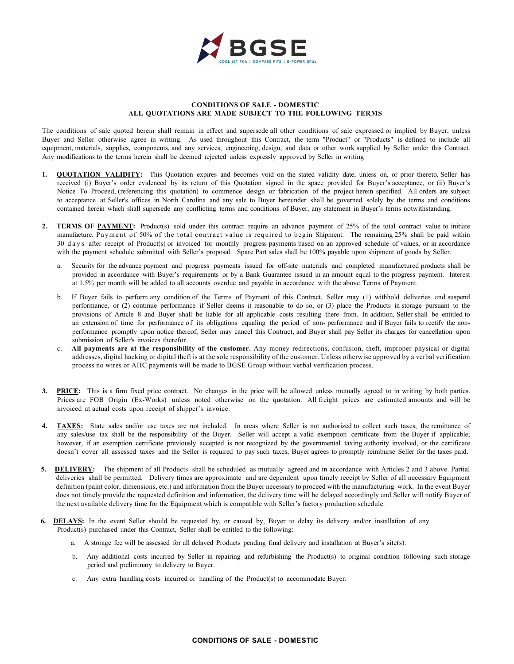

## **CONDITIONS OF SALE - DOMESTIC ALL QUOTATIONS ARE MADE SUBJECT TO THE FOLLOWING TERMS**

The conditions of sale quoted herein shall remain in effect and supersede all other conditions of sale expressed or implied by Buyer, unless Buyer and Seller otherwise agree in writing. As used throughout this Contract, the term "Product" or "Products" is defined to include all equipment, materials, supplies, components, and any services, engineering, design, and data or other work supplied by Seller under this Contract. Any modifications to the terms herein shall be deemed rejected unless expressly approved by Seller in writing

- 1. **QUOTATION VALIDITY:** This Quotation expires and becomes void on the stated validity date, unless on, or prior thereto, Seller has received (i) Buyer's order evidenced by its return of this Quotation signed in the space provided for Buyer's acceptance, or (ii) Buyer's Notice To Proceed, (referencing this quotation) to commence design or fabrication of the project herein specified. All orders are subject to acceptance at Seller's offices in North Carolina and any sale to Buyer hereunder shall be governed solely by the terms and conditions contained herein which shall supersede any conflicting terms and conditions of Buyer, any statement in Buyer's terms notwithstanding.
- 2. **TERMS OF PAYMENT:** Product(s) sold under this contract require an advance payment of 25% of the total contract value to initiate manufacture. Payment of 50% of the total contract value is required to begin Shipment. The remaining 25% shall be paid within 30 days after receipt of Product(s) or invoiced for monthly progress payments based on an approved schedule of values, or in accordance with the payment schedule submitted with Seller's proposal. Spare Part sales shall be 100% payable upon shipment of goods by Seller.
	- a. Security for the advance payment and progress payments issued for off-site materials and completed manufactured products shall be provided in accordance with Buyer's requirements or by a Bank Guarantee issued in an amount equal to the progress payment. Interest at 1.5% per month will be added to all accounts overdue and payable in accordance with the above Terms of Payment.
	- b. If Buyer fails to perform any condition of the Terms of Payment of this Contract, Seller may (1) withhold deliveries and suspend performance, or (2) continue performance if Seller deems it reasonable to do so, or (3) place the Products in storage pursuant to the provisions of Article 8 and Buyer shall be liable for all applicable costs resulting there from. In addition, Seller shall be entitled to an extension of time for performance of its obligations equaling the period of non- performance and if Buyer fails to rectify the nonperformance promptly upon notice thereof, Seller may cancel this Contract, and Buyer shall pay Seller its charges for cancellation upon submission of Seller's invoices therefor.
	- c. **All payments are at the responsibility of the customer.** Any money redirections, confusion, theft, improper physical or digital addresses, digital hacking or digital theft is at the sole responsibility of the customer. Unless otherwise approved by a verbal verification process no wires or AHC payments will be made to BGSE Group without verbal verification process.
- **3. PRICE:** This is a firm fixed price contract. No changes in the price will be allowed unless mutually agreed to in writing by both parties. Prices are FOB Origin (Ex-Works) unless noted otherwise on the quotation. All freight prices are estimated amounts and will be invoiced at actual costs upon receipt of shipper's invoice.
- 4. **TAXES:** State sales and/or use taxes are not included. In areas where Seller is not authorized to collect such taxes, the remittance of any sales/use tax shall be the responsibility of the Buyer. Seller will accept a valid exemption certificate from the Buyer if applicable; however, if an exemption certificate previously accepted is not recognized by the governmental taxing authority involved, or the certificate doesn't cover all assessed taxes and the Seller is required to pay such taxes, Buyer agrees to promptly reimburse Seller for the taxes paid.
- **5. DELIVERY:** The shipment of all Products shall be scheduled as mutually agreed and in accordance with Articles 2 and 3 above. Partial deliveries shall be permitted. Delivery times are approximate and are dependent upon timely receipt by Seller of all necessary Equipment definition (paint color, dimensions, etc.) and information from the Buyer necessary to proceed with the manufacturing work. In the event Buyer does not timely provide the requested definition and information, the delivery time will be delayed accordingly and Seller will notify Buyer of the next available delivery time for the Equipment which is compatible with Seller's factory production schedule.
- **6. DELAYS:** In the event Seller should be requested by, or caused by, Buyer to delay its delivery and/or installation of any Product(s) purchased under this Contract, Seller shall be entitled to the following:
	- a. A storage fee will be assessed for all delayed Products pending final delivery and installation at Buyer's site(s).
	- b. Any additional costs incurred by Seller in repairing and refurbishing the Product(s) to original condition following such storage period and preliminary to delivery to Buyer.
	- c. Any extra handling costs incurred or handling of the Product(s) to accommodate Buyer.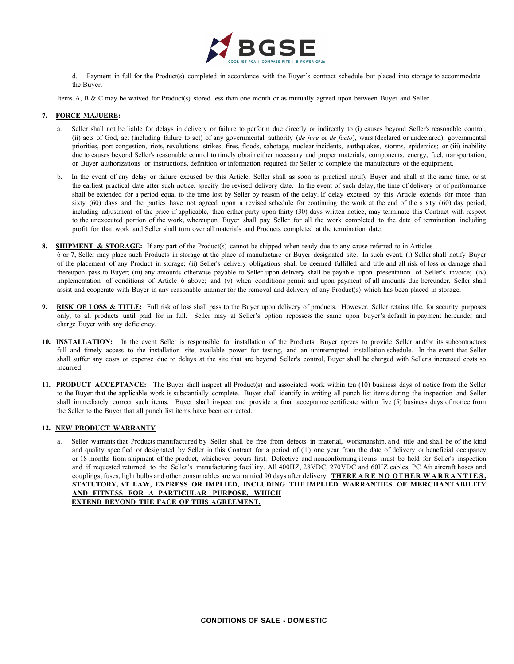

d. Payment in full for the Product(s) completed in accordance with the Buyer's contract schedule but placed into storage to accommodate the Buyer.

Items A, B & C may be waived for Product(s) stored less than one month or as mutually agreed upon between Buyer and Seller.

## **7. FORCE MAJUERE:**

- a. Seller shall not be liable for delays in delivery or failure to perform due directly or indirectly to (i) causes beyond Seller's reasonable control; (ii) acts of God, act (including failure to act) of any governmental authority (*de jure* or *de facto*), wars (declared or undeclared), governmental priorities, port congestion, riots, revolutions, strikes, fires, floods, sabotage, nuclear incidents, earthquakes, storms, epidemics; or (iii) inability due to causes beyond Seller's reasonable control to timely obtain either necessary and proper materials, components, energy, fuel, transportation, or Buyer authorizations or instructions, definition or information required for Seller to complete the manufacture of the equipment.
- b. In the event of any delay or failure excused by this Article, Seller shall as soon as practical notify Buyer and shall at the same time, or at the earliest practical date after such notice, specify the revised delivery date. In the event of such delay, the time of delivery or of performance shall be extended for a period equal to the time lost by Seller by reason of the delay. If delay excused by this Article extends for more than sixty (60) days and the parties have not agreed upon a revised schedule for continuing the work at the end of the sixty (60) day period, including adjustment of the price if applicable, then either party upon thirty (30) days written notice, may terminate this Contract with respect to the unexecuted portion of the work, whereupon Buyer shall pay Seller for all the work completed to the date of termination including profit for that work and Seller shall turn over all materials and Products completed at the termination date.
- **8. SHIPMENT & STORAGE:** If any part of the Product(s) cannot be shipped when ready due to any cause referred to in Articles
- 6 or 7, Seller may place such Products in storage at the place of manufacture or Buyer-designated site. In such event; (i) Seller shall notify Buyer of the placement of any Product in storage; (ii) Seller's delivery obligations shall be deemed fulfilled and title and all risk of loss or damage shall thereupon pass to Buyer; (iii) any amounts otherwise payable to Seller upon delivery shall be payable upon presentation of Seller's invoice; (iv) implementation of conditions of Article 6 above; and (v) when conditions permit and upon payment of all amounts due hereunder, Seller shall assist and cooperate with Buyer in any reasonable manner for the removal and delivery of any Product(s) which has been placed in storage.
- **9. RISK OF LOSS & TITLE:** Full risk of loss shall pass to the Buyer upon delivery of products. However, Seller retains title, for security purposes only, to all products until paid for in full. Seller may at Seller's option repossess the same upon buyer's default in payment hereunder and charge Buyer with any deficiency.
- **10. INSTALLATION:** In the event Seller is responsible for installation of the Products, Buyer agrees to provide Seller and/or its subcontractors full and timely access to the installation site, available power for testing, and an uninterrupted installation schedule. In the event that Seller shall suffer any costs or expense due to delays at the site that are beyond Seller's control, Buyer shall be charged with Seller's increased costs so incurred.
- **11. PRODUCT ACCEPTANCE:** The Buyer shall inspect all Product(s) and associated work within ten (10) business days of notice from the Seller to the Buyer that the applicable work is substantially complete. Buyer shall identify in writing all punch list items during the inspection and Seller shall immediately correct such items. Buyer shall inspect and provide a final acceptance certificate within five (5) business days of notice from the Seller to the Buyer that all punch list items have been corrected.

# **12. NEW PRODUCT WARRANTY**

a. Seller warrants that Products manufactured by Seller shall be free from defects in material, workmanship, and title and shall be of the kind and quality specified or designated by Seller in this Contract for a period of (1) one year from the date of delivery or beneficial occupancy or 18 months from shipment of the product, whichever occurs first. Defective and nonconforming items must be held for Seller's inspection and if requested returned to the Seller's manufacturing facility. All 400HZ, 28VDC, 270VDC and 60HZ cables, PC Air aircraft hoses and couplings, fuses, light bulbs and other consumables are warrantied 90 days after delivery. **THERE ARE NO OTHER WARRANTIES , STATUTORY, AT LAW, EXPRESS OR IMPLIED, INCLUDING THE IMPLIED WARRANTIES OF MERCHANTABILITY AND FITNESS FOR A PARTICULAR PURPOSE, WHICH EXTEND BEYOND THE FACE OF THIS AGREEMENT.**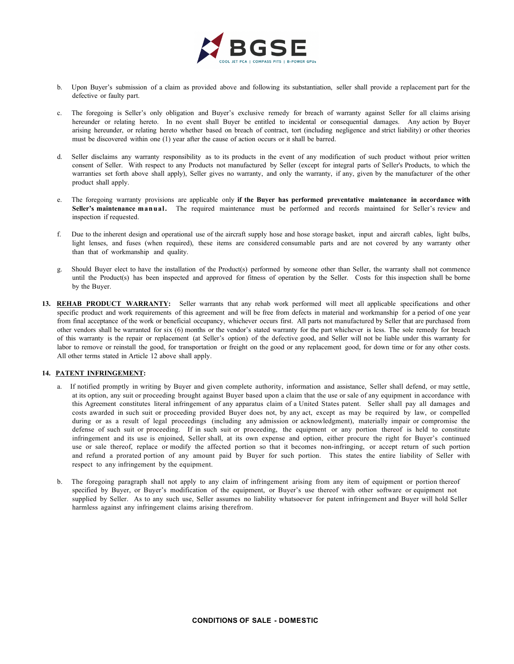

- b. Upon Buyer's submission of a claim as provided above and following its substantiation, seller shall provide a replacement part for the defective or faulty part.
- c. The foregoing is Seller's only obligation and Buyer's exclusive remedy for breach of warranty against Seller for all claims arising hereunder or relating hereto. In no event shall Buyer be entitled to incidental or consequential damages. Any action by Buyer arising hereunder, or relating hereto whether based on breach of contract, tort (including negligence and strict liability) or other theories must be discovered within one (1) year after the cause of action occurs or it shall be barred.
- d. Seller disclaims any warranty responsibility as to its products in the event of any modification of such product without prior written consent of Seller. With respect to any Products not manufactured by Seller (except for integral parts of Seller's Products, to which the warranties set forth above shall apply), Seller gives no warranty, and only the warranty, if any, given by the manufacturer of the other product shall apply.
- e. The foregoing warranty provisions are applicable only **if the Buyer has performed preventative maintenance in accordance with Seller's maintenance manual.** The required maintenance must be performed and records maintained for Seller's review and inspection if requested.
- f. Due to the inherent design and operational use of the aircraft supply hose and hose storage basket, input and aircraft cables, light bulbs, light lenses, and fuses (when required), these items are considered consumable parts and are not covered by any warranty other than that of workmanship and quality.
- g. Should Buyer elect to have the installation of the Product(s) performed by someone other than Seller, the warranty shall not commence until the Product(s) has been inspected and approved for fitness of operation by the Seller. Costs for this inspection shall be borne by the Buyer.
- **13. REHAB PRODUCT WARRANTY:** Seller warrants that any rehab work performed will meet all applicable specifications and other specific product and work requirements of this agreement and will be free from defects in material and workmanship for a period of one year from final acceptance of the work or beneficial occupancy, whichever occurs first. All parts not manufactured by Seller that are purchased from other vendors shall be warranted for six (6) months or the vendor's stated warranty for the part whichever is less. The sole remedy for breach of this warranty is the repair or replacement (at Seller's option) of the defective good, and Seller will not be liable under this warranty for labor to remove or reinstall the good, for transportation or freight on the good or any replacement good, for down time or for any other costs. All other terms stated in Article 12 above shall apply.

# **14. PATENT INFRINGEMENT:**

- a. If notified promptly in writing by Buyer and given complete authority, information and assistance, Seller shall defend, or may settle, at its option, any suit or proceeding brought against Buyer based upon a claim that the use or sale of any equipment in accordance with this Agreement constitutes literal infringement of any apparatus claim of a United States patent. Seller shall pay all damages and costs awarded in such suit or proceeding provided Buyer does not, by any act, except as may be required by law, or compelled during or as a result of legal proceedings (including any admission or acknowledgment), materially impair or compromise the defense of such suit or proceeding. If in such suit or proceeding, the equipment or any portion thereof is held to constitute infringement and its use is enjoined, Seller shall, at its own expense and option, either procure the right for Buyer's continued use or sale thereof, replace or modify the affected portion so that it becomes non-infringing, or accept return of such portion and refund a prorated portion of any amount paid by Buyer for such portion. This states the entire liability of Seller with respect to any infringement by the equipment.
- b. The foregoing paragraph shall not apply to any claim of infringement arising from any item of equipment or portion thereof specified by Buyer, or Buyer's modification of the equipment, or Buyer's use thereof with other software or equipment not supplied by Seller. As to any such use, Seller assumes no liability whatsoever for patent infringement and Buyer will hold Seller harmless against any infringement claims arising therefrom.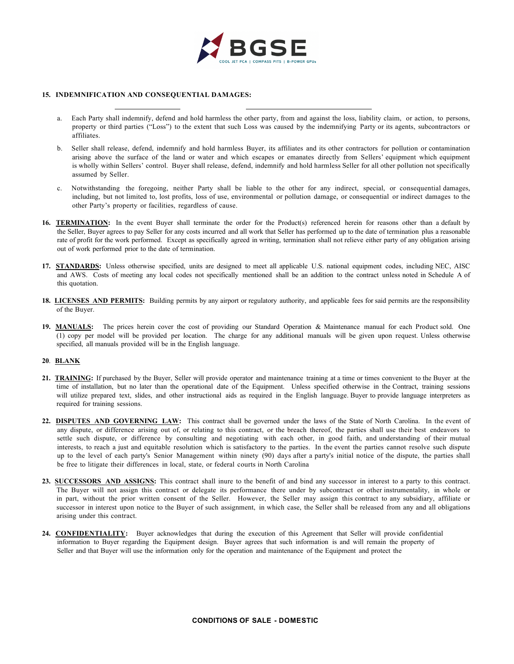

#### **15. INDEMNIFICATION AND CONSEQUENTIAL DAMAGES:**

- a. Each Party shall indemnify, defend and hold harmless the other party, from and against the loss, liability claim, or action, to persons, property or third parties ("Loss") to the extent that such Loss was caused by the indemnifying Party or its agents, subcontractors or affiliates.
- b. Seller shall release, defend, indemnify and hold harmless Buyer, its affiliates and its other contractors for pollution or contamination arising above the surface of the land or water and which escapes or emanates directly from Sellers' equipment which equipment is wholly within Sellers' control. Buyer shall release, defend, indemnify and hold harmless Seller for all other pollution not specifically assumed by Seller.
- c. Notwithstanding the foregoing, neither Party shall be liable to the other for any indirect, special, or consequential damages, including, but not limited to, lost profits, loss of use, environmental or pollution damage, or consequential or indirect damages to the other Party's property or facilities, regardless of cause.
- 16. TERMINATION: In the event Buyer shall terminate the order for the Product(s) referenced herein for reasons other than a default by the Seller, Buyer agrees to pay Seller for any costs incurred and all work that Seller has performed up to the date of termination plus a reasonable rate of profit for the work performed. Except as specifically agreed in writing, termination shall not relieve either party of any obligation arising out of work performed prior to the date of termination.
- **17. STANDARDS:** Unless otherwise specified, units are designed to meet all applicable U.S. national equipment codes, including NEC, AISC and AWS. Costs of meeting any local codes not specifically mentioned shall be an addition to the contract unless noted in Schedule A of this quotation.
- **18. LICENSES AND PERMITS:** Building permits by any airport or regulatory authority, and applicable fees for said permits are the responsibility of the Buyer.
- **19. MANUALS:** The prices herein cover the cost of providing our Standard Operation & Maintenance manual for each Product sold. One (1) copy per model will be provided per location. The charge for any additional manuals will be given upon request. Unless otherwise specified, all manuals provided will be in the English language.

## **20**. **BLANK**

- **21. TRAINING:** If purchased by the Buyer, Seller will provide operator and maintenance training at a time or times convenient to the Buyer at the time of installation, but no later than the operational date of the Equipment. Unless specified otherwise in the Contract, training sessions will utilize prepared text, slides, and other instructional aids as required in the English language. Buyer to provide language interpreters as required for training sessions.
- 22. DISPUTES AND GOVERNING LAW: This contract shall be governed under the laws of the State of North Carolina. In the event of any dispute, or difference arising out of, or relating to this contract, or the breach thereof, the parties shall use their best endeavors to settle such dispute, or difference by consulting and negotiating with each other, in good faith, and understanding of their mutual interests, to reach a just and equitable resolution which is satisfactory to the parties. In the event the parties cannot resolve such dispute up to the level of each party's Senior Management within ninety (90) days after a party's initial notice of the dispute, the parties shall be free to litigate their differences in local, state, or federal courts in North Carolina
- **23. SUCCESSORS AND ASSIGNS:** This contract shall inure to the benefit of and bind any successor in interest to a party to this contract. The Buyer will not assign this contract or delegate its performance there under by subcontract or other instrumentality, in whole or in part, without the prior written consent of the Seller. However, the Seller may assign this contract to any subsidiary, affiliate or successor in interest upon notice to the Buyer of such assignment, in which case, the Seller shall be released from any and all obligations arising under this contract.
- **24. CONFIDENTIALITY:** Buyer acknowledges that during the execution of this Agreement that Seller will provide confidential information to Buyer regarding the Equipment design. Buyer agrees that such information is and will remain the property of Seller and that Buyer will use the information only for the operation and maintenance of the Equipment and protect the